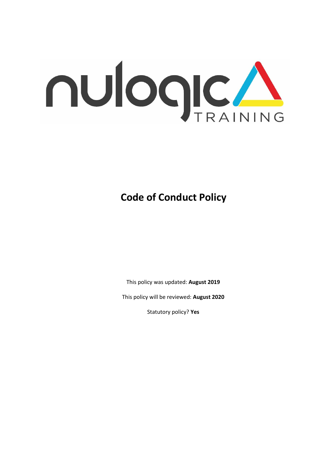

# **Code of Conduct Policy**

This policy was updated: **August 2019**

This policy will be reviewed: **August 2020**

Statutory policy? **Yes**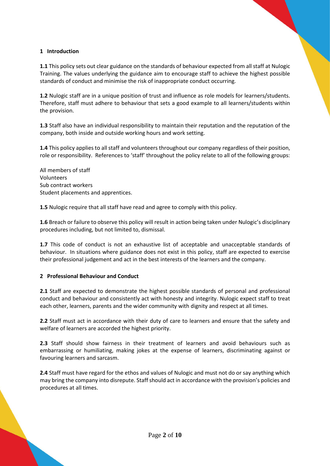#### **1 Introduction**

**1.1** This policy sets out clear guidance on the standards of behaviour expected from all staff at Nulogic Training. The values underlying the guidance aim to encourage staff to achieve the highest possible standards of conduct and minimise the risk of inappropriate conduct occurring.

**1.2** Nulogic staff are in a unique position of trust and influence as role models for learners/students. Therefore, staff must adhere to behaviour that sets a good example to all learners/students within the provision.

**1.3** Staff also have an individual responsibility to maintain their reputation and the reputation of the company, both inside and outside working hours and work setting.

**1.4** This policy applies to all staff and volunteers throughout our company regardless of their position, role or responsibility. References to 'staff' throughout the policy relate to all of the following groups:

All members of staff Volunteers Sub contract workers Student placements and apprentices.

**1.5** Nulogic require that all staff have read and agree to comply with this policy.

**1.6** Breach or failure to observe this policy will result in action being taken under Nulogic's disciplinary procedures including, but not limited to, dismissal.

**1.7** This code of conduct is not an exhaustive list of acceptable and unacceptable standards of behaviour. In situations where guidance does not exist in this policy, staff are expected to exercise their professional judgement and act in the best interests of the learners and the company.

#### **2 Professional Behaviour and Conduct**

**2.1** Staff are expected to demonstrate the highest possible standards of personal and professional conduct and behaviour and consistently act with honesty and integrity. Nulogic expect staff to treat each other, learners, parents and the wider community with dignity and respect at all times.

**2.2** Staff must act in accordance with their duty of care to learners and ensure that the safety and welfare of learners are accorded the highest priority.

**2.3** Staff should show fairness in their treatment of learners and avoid behaviours such as embarrassing or humiliating, making jokes at the expense of learners, discriminating against or favouring learners and sarcasm.

**2.4** Staff must have regard for the ethos and values of Nulogic and must not do or say anything which may bring the company into disrepute. Staff should act in accordance with the provision's policies and procedures at all times.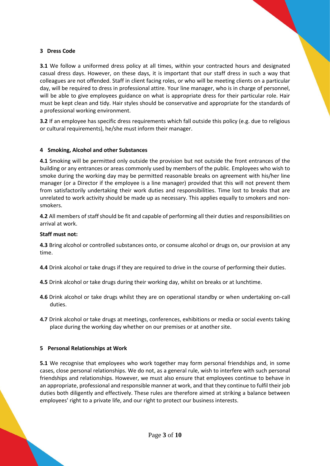#### **3 Dress Code**

**3.1** We follow a uniformed dress policy at all times, within your contracted hours and designated casual dress days. However, on these days, it is important that our staff dress in such a way that colleagues are not offended. Staff in client facing roles, or who will be meeting clients on a particular day, will be required to dress in professional attire. Your line manager, who is in charge of personnel, will be able to give employees guidance on what is appropriate dress for their particular role. Hair must be kept clean and tidy. Hair styles should be conservative and appropriate for the standards of a professional working environment.

**3.2** If an employee has specific dress requirements which fall outside this policy (e.g. due to religious or cultural requirements), he/she must inform their manager.

#### **4 Smoking, Alcohol and other Substances**

**4.1** Smoking will be permitted only outside the provision but not outside the front entrances of the building or any entrances or areas commonly used by members of the public. Employees who wish to smoke during the working day may be permitted reasonable breaks on agreement with his/her line manager (or a Director if the employee is a line manager) provided that this will not prevent them from satisfactorily undertaking their work duties and responsibilities. Time lost to breaks that are unrelated to work activity should be made up as necessary. This applies equally to smokers and nonsmokers.

**4.2** All members of staff should be fit and capable of performing all their duties and responsibilities on arrival at work.

#### **Staff must not:**

**4.3** Bring alcohol or controlled substances onto, or consume alcohol or drugs on, our provision at any time.

**4.4** Drink alcohol or take drugs if they are required to drive in the course of performing their duties.

**4.5** Drink alcohol or take drugs during their working day, whilst on breaks or at lunchtime.

- **4.6** Drink alcohol or take drugs whilst they are on operational standby or when undertaking on-call duties.
- **4.7** Drink alcohol or take drugs at meetings, conferences, exhibitions or media or social events taking place during the working day whether on our premises or at another site.

#### **5 Personal Relationships at Work**

**5.1** We recognise that employees who work together may form personal friendships and, in some cases, close personal relationships. We do not, as a general rule, wish to interfere with such personal friendships and relationships. However, we must also ensure that employees continue to behave in an appropriate, professional and responsible manner at work, and that they continue to fulfil their job duties both diligently and effectively. These rules are therefore aimed at striking a balance between employees' right to a private life, and our right to protect our business interests.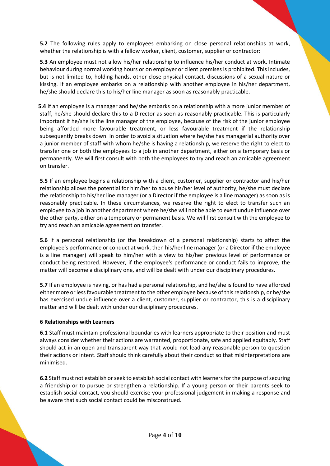**5.2** The following rules apply to employees embarking on close personal relationships at work, whether the relationship is with a fellow worker, client, customer, supplier or contractor:

**5.3** An employee must not allow his/her relationship to influence his/her conduct at work. Intimate behaviour during normal working hours or on employer or client premises is prohibited. This includes, but is not limited to, holding hands, other close physical contact, discussions of a sexual nature or kissing. If an employee embarks on a relationship with another employee in his/her department, he/she should declare this to his/her line manager as soon as reasonably practicable.

 **5.4** If an employee is a manager and he/she embarks on a relationship with a more junior member of staff, he/she should declare this to a Director as soon as reasonably practicable. This is particularly important if he/she is the line manager of the employee, because of the risk of the junior employee being afforded more favourable treatment, or less favourable treatment if the relationship subsequently breaks down. In order to avoid a situation where he/she has managerial authority over a junior member of staff with whom he/she is having a relationship, we reserve the right to elect to transfer one or both the employees to a job in another department, either on a temporary basis or permanently. We will first consult with both the employees to try and reach an amicable agreement on transfer.

**5.5** If an employee begins a relationship with a client, customer, supplier or contractor and his/her relationship allows the potential for him/her to abuse his/her level of authority, he/she must declare the relationship to his/her line manager (or a Director if the employee is a line manager) as soon as is reasonably practicable. In these circumstances, we reserve the right to elect to transfer such an employee to a job in another department where he/she will not be able to exert undue influence over the other party, either on a temporary or permanent basis. We will first consult with the employee to try and reach an amicable agreement on transfer.

**5.6** If a personal relationship (or the breakdown of a personal relationship) starts to affect the employee's performance or conduct at work, then his/her line manager (or a Director if the employee is a line manager) will speak to him/her with a view to his/her previous level of performance or conduct being restored. However, if the employee's performance or conduct fails to improve, the matter will become a disciplinary one, and will be dealt with under our disciplinary procedures.

**5.7** If an employee is having, or has had a personal relationship, and he/she is found to have afforded either more or less favourable treatment to the other employee because of this relationship, or he/she has exercised undue influence over a client, customer, supplier or contractor, this is a disciplinary matter and will be dealt with under our disciplinary procedures.

#### **6 Relationships with Learners**

**6.1** Staff must maintain professional boundaries with learners appropriate to their position and must always consider whether their actions are warranted, proportionate, safe and applied equitably. Staff should act in an open and transparent way that would not lead any reasonable person to question their actions or intent. Staff should think carefully about their conduct so that misinterpretations are minimised.

**6.2** Staff must not establish or seek to establish social contact with learners for the purpose of securing a friendship or to pursue or strengthen a relationship. If a young person or their parents seek to establish social contact, you should exercise your professional judgement in making a response and be aware that such social contact could be misconstrued.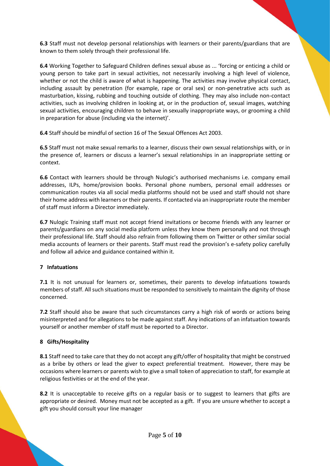**6.3** Staff must not develop personal relationships with learners or their parents/guardians that are known to them solely through their professional life.

**6.4** Working Together to Safeguard Children defines sexual abuse as ... 'forcing or enticing a child or young person to take part in sexual activities, not necessarily involving a high level of violence, whether or not the child is aware of what is happening. The activities may involve physical contact, including assault by penetration (for example, rape or oral sex) or non-penetrative acts such as masturbation, kissing, rubbing and touching outside of clothing. They may also include non-contact activities, such as involving children in looking at, or in the production of, sexual images, watching sexual activities, encouraging children to behave in sexually inappropriate ways, or grooming a child in preparation for abuse (including via the internet)'.

**6.4** Staff should be mindful of section 16 of The Sexual Offences Act 2003.

**6.5** Staff must not make sexual remarks to a learner, discuss their own sexual relationships with, or in the presence of, learners or discuss a learner's sexual relationships in an inappropriate setting or context.

**6.6** Contact with learners should be through Nulogic's authorised mechanisms i.e. company email addresses, ILPs, home/provision books. Personal phone numbers, personal email addresses or communication routes via all social media platforms should not be used and staff should not share their home address with learners or their parents. If contacted via an inappropriate route the member of staff must inform a Director immediately.

**6.7** Nulogic Training staff must not accept friend invitations or become friends with any learner or parents/guardians on any social media platform unless they know them personally and not through their professional life. Staff should also refrain from following them on Twitter or other similar social media accounts of learners or their parents. Staff must read the provision's e-safety policy carefully and follow all advice and guidance contained within it.

# **7 Infatuations**

**7.1** It is not unusual for learners or, sometimes, their parents to develop infatuations towards members of staff. All such situations must be responded to sensitively to maintain the dignity of those concerned.

**7.2** Staff should also be aware that such circumstances carry a high risk of words or actions being misinterpreted and for allegations to be made against staff. Any indications of an infatuation towards yourself or another member of staff must be reported to a Director.

#### **8 Gifts/Hospitality**

**8.1** Staff need to take care that they do not accept any gift/offer of hospitality that might be construed as a bribe by others or lead the giver to expect preferential treatment. However, there may be occasions where learners or parents wish to give a small token of appreciation to staff, for example at religious festivities or at the end of the year.

**8.2** It is unacceptable to receive gifts on a regular basis or to suggest to learners that gifts are appropriate or desired. Money must not be accepted as a gift. If you are unsure whether to accept a gift you should consult your line manager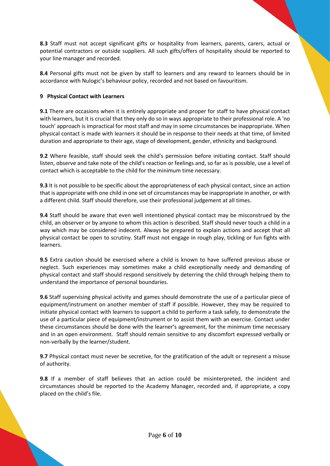**8.3** Staff must not accept significant gifts or hospitality from learners, parents, carers, actual or potential contractors or outside suppliers. All such gifts/offers of hospitality should be reported to your line manager and recorded.

**8.4** Personal gifts must not be given by staff to learners and any reward to learners should be in accordance with Nulogic's behaviour policy, recorded and not based on favouritism.

# **9 Physical Contact with Learners**

**9.1** There are occasions when it is entirely appropriate and proper for staff to have physical contact with learners, but it is crucial that they only do so in ways appropriate to their professional role. A 'no touch' approach is impractical for most staff and may in some circumstances be inappropriate. When physical contact is made with learners it should be in response to their needs at that time, of limited duration and appropriate to their age, stage of development, gender, ethnicity and background.

**9.2** Where feasible, staff should seek the child's permission before initiating contact. Staff should listen, observe and take note of the child's reaction or feelings and, so far as is possible, use a level of contact which is acceptable to the child for the minimum time necessary.

**9.3** It is not possible to be specific about the appropriateness of each physical contact, since an action that is appropriate with one child in one set of circumstances may be inappropriate in another, or with a different child. Staff should therefore, use their professional judgement at all times.

**9.4** Staff should be aware that even well intentioned physical contact may be misconstrued by the child, an observer or by anyone to whom this action is described. Staff should never touch a child in a way which may be considered indecent. Always be prepared to explain actions and accept that all physical contact be open to scrutiny. Staff must not engage in rough play, tickling or fun fights with learners.

**9.5** Extra caution should be exercised where a child is known to have suffered previous abuse or neglect. Such experiences may sometimes make a child exceptionally needy and demanding of physical contact and staff should respond sensitively by deterring the child through helping them to understand the importance of personal boundaries.

**9.6** Staff supervising physical activity and games should demonstrate the use of a particular piece of equipment/instrument on another member of staff if possible. However, they may be required to initiate physical contact with learners to support a child to perform a task safely, to demonstrate the use of a particular piece of equipment/instrument or to assist them with an exercise. Contact under these circumstances should be done with the learner's agreement, for the minimum time necessary and in an open environment. Staff should remain sensitive to any discomfort expressed verbally or non-verbally by the learner/student.

**9.7** Physical contact must never be secretive, for the gratification of the adult or represent a misuse of authority.

**9.8** If a member of staff believes that an action could be misinterpreted, the incident and circumstances should be reported to the Academy Manager, recorded and, if appropriate, a copy placed on the child's file.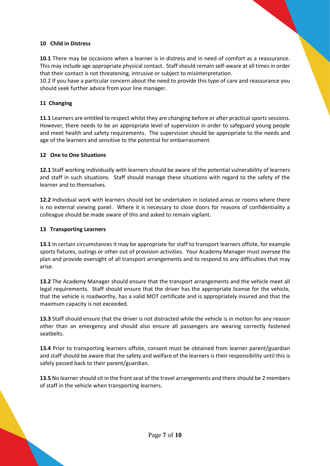#### **10 Child in Distress**

**10.1** There may be occasions when a learner is in distress and in need of comfort as a reassurance. This may include age appropriate physical contact. Staff should remain self-aware at all times in order that their contact is not threatening, intrusive or subject to misinterpretation.

10.2 If you have a particular concern about the need to provide this type of care and reassurance you should seek further advice from your line manager.

#### **11 Changing**

**11.1** Learners are entitled to respect whilst they are changing before or after practical sports sessions. However, there needs to be an appropriate level of supervision in order to safeguard young people and meet health and safety requirements. The supervision should be appropriate to the needs and age of the learners and sensitive to the potential for embarrassment.

#### **12 One to One Situations**

**12.1** Staff working individually with learners should be aware of the potential vulnerability of learners and staff in such situations. Staff should manage these situations with regard to the safety of the learner and to themselves.

**12.2** Individual work with learners should not be undertaken in isolated areas or rooms where there is no external viewing panel. Where it is necessary to close doors for reasons of confidentiality a colleague should be made aware of this and asked to remain vigilant.

#### **13 Transporting Learners**

**13.1** In certain circumstances it may be appropriate for staff to transport learners offsite, for example sports fixtures, outings or other out of provision activities. Your Academy Manager must oversee the plan and provide oversight of all transport arrangements and to respond to any difficulties that may arise.

**13.2** The Academy Manager should ensure that the transport arrangements and the vehicle meet all legal requirements. Staff should ensure that the driver has the appropriate license for the vehicle, that the vehicle is roadworthy, has a valid MOT certificate and is appropriately insured and that the maximum capacity is not exceeded.

**13.3** Staff should ensure that the driver is not distracted while the vehicle is in motion for any reason other than an emergency and should also ensure all passengers are wearing correctly fastened seatbelts.

**13.4** Prior to transporting learners offsite, consent must be obtained from learner parent/guardian and staff should be aware that the safety and welfare of the learners is their responsibility until this is safely passed back to their parent/guardian.

13.5 No learner should sit in the front seat of the travel arrangements and there should be 2 members of staff in the vehicle when transporting learners.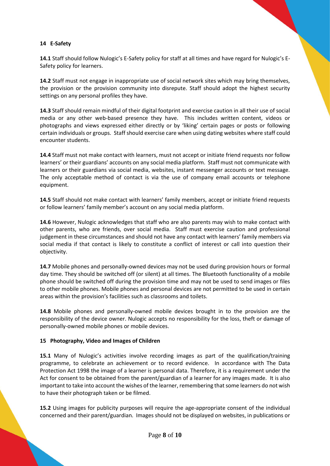# **14 E-Safety**

**14.1** Staff should follow Nulogic's E-Safety policy for staff at all times and have regard for Nulogic's E-Safety policy for learners.

**14.2** Staff must not engage in inappropriate use of social network sites which may bring themselves, the provision or the provision community into disrepute. Staff should adopt the highest security settings on any personal profiles they have.

**14.3** Staff should remain mindful of their digital footprint and exercise caution in all their use of social media or any other web-based presence they have. This includes written content, videos or photographs and views expressed either directly or by 'liking' certain pages or posts or following certain individuals or groups. Staff should exercise care when using dating websites where staff could encounter students.

**14.4** Staff must not make contact with learners, must not accept or initiate friend requests nor follow learners' or their guardians' accounts on any social media platform. Staff must not communicate with learners or their guardians via social media, websites, instant messenger accounts or text message. The only acceptable method of contact is via the use of company email accounts or telephone equipment.

**14.5** Staff should not make contact with learners' family members, accept or initiate friend requests or follow learners' family member's account on any social media platform.

**14.6** However, Nulogic acknowledges that staff who are also parents may wish to make contact with other parents, who are friends, over social media. Staff must exercise caution and professional judgement in these circumstances and should not have any contact with learners' family members via social media if that contact is likely to constitute a conflict of interest or call into question their objectivity.

**14.7** Mobile phones and personally-owned devices may not be used during provision hours or formal day time. They should be switched off (or silent) at all times. The Bluetooth functionality of a mobile phone should be switched off during the provision time and may not be used to send images or files to other mobile phones. Mobile phones and personal devices are not permitted to be used in certain areas within the provision's facilities such as classrooms and toilets.

**14.8** Mobile phones and personally-owned mobile devices brought in to the provision are the responsibility of the device owner. Nulogic accepts no responsibility for the loss, theft or damage of personally-owned mobile phones or mobile devices.

# **15 Photography, Video and Images of Children**

**15.1** Many of Nulogic's activities involve recording images as part of the qualification/training programme, to celebrate an achievement or to record evidence. In accordance with The Data Protection Act 1998 the image of a learner is personal data. Therefore, it is a requirement under the Act for consent to be obtained from the parent/guardian of a learner for any images made. It is also important to take into account the wishes of the learner, remembering that some learners do not wish to have their photograph taken or be filmed.

**15.2** Using images for publicity purposes will require the age-appropriate consent of the individual concerned and their parent/guardian. Images should not be displayed on websites, in publications or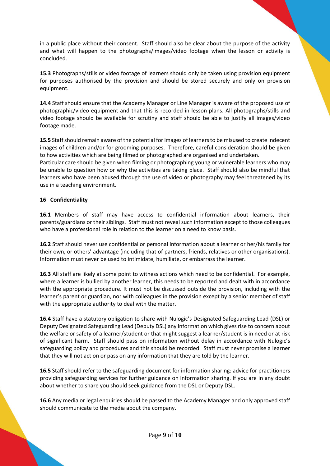in a public place without their consent. Staff should also be clear about the purpose of the activity and what will happen to the photographs/images/video footage when the lesson or activity is concluded.

**15.3** Photographs/stills or video footage of learners should only be taken using provision equipment for purposes authorised by the provision and should be stored securely and only on provision equipment.

**14.4** Staff should ensure that the Academy Manager or Line Manager is aware of the proposed use of photographic/video equipment and that this is recorded in lesson plans. All photographs/stills and video footage should be available for scrutiny and staff should be able to justify all images/video footage made.

**15.5** Staff should remain aware of the potential for images of learners to be misused to create indecent images of children and/or for grooming purposes. Therefore, careful consideration should be given to how activities which are being filmed or photographed are organised and undertaken.

Particular care should be given when filming or photographing young or vulnerable learners who may be unable to question how or why the activities are taking place. Staff should also be mindful that learners who have been abused through the use of video or photography may feel threatened by its use in a teaching environment.

# **16 Confidentiality**

**16.1** Members of staff may have access to confidential information about learners, their parents/guardians or their siblings. Staff must not reveal such information except to those colleagues who have a professional role in relation to the learner on a need to know basis.

**16.2** Staff should never use confidential or personal information about a learner or her/his family for their own, or others' advantage (including that of partners, friends, relatives or other organisations). Information must never be used to intimidate, humiliate, or embarrass the learner.

**16.3** All staff are likely at some point to witness actions which need to be confidential. For example, where a learner is bullied by another learner, this needs to be reported and dealt with in accordance with the appropriate procedure. It must not be discussed outside the provision, including with the learner's parent or guardian, nor with colleagues in the provision except by a senior member of staff with the appropriate authority to deal with the matter.

**16.4** Staff have a statutory obligation to share with Nulogic's Designated Safeguarding Lead (DSL) or Deputy Designated Safeguarding Lead (Deputy DSL) any information which gives rise to concern about the welfare or safety of a learner/student or that might suggest a learner/student is in need or at risk of significant harm. Staff should pass on information without delay in accordance with Nulogic's safeguarding policy and procedures and this should be recorded. Staff must never promise a learner that they will not act on or pass on any information that they are told by the learner.

**16.5** Staff should refer to the safeguarding document for information sharing: advice for practitioners providing safeguarding services for further guidance on information sharing. If you are in any doubt about whether to share you should seek guidance from the DSL or Deputy DSL.

**16.6** Any media or legal enquiries should be passed to the Academy Manager and only approved staff should communicate to the media about the company.